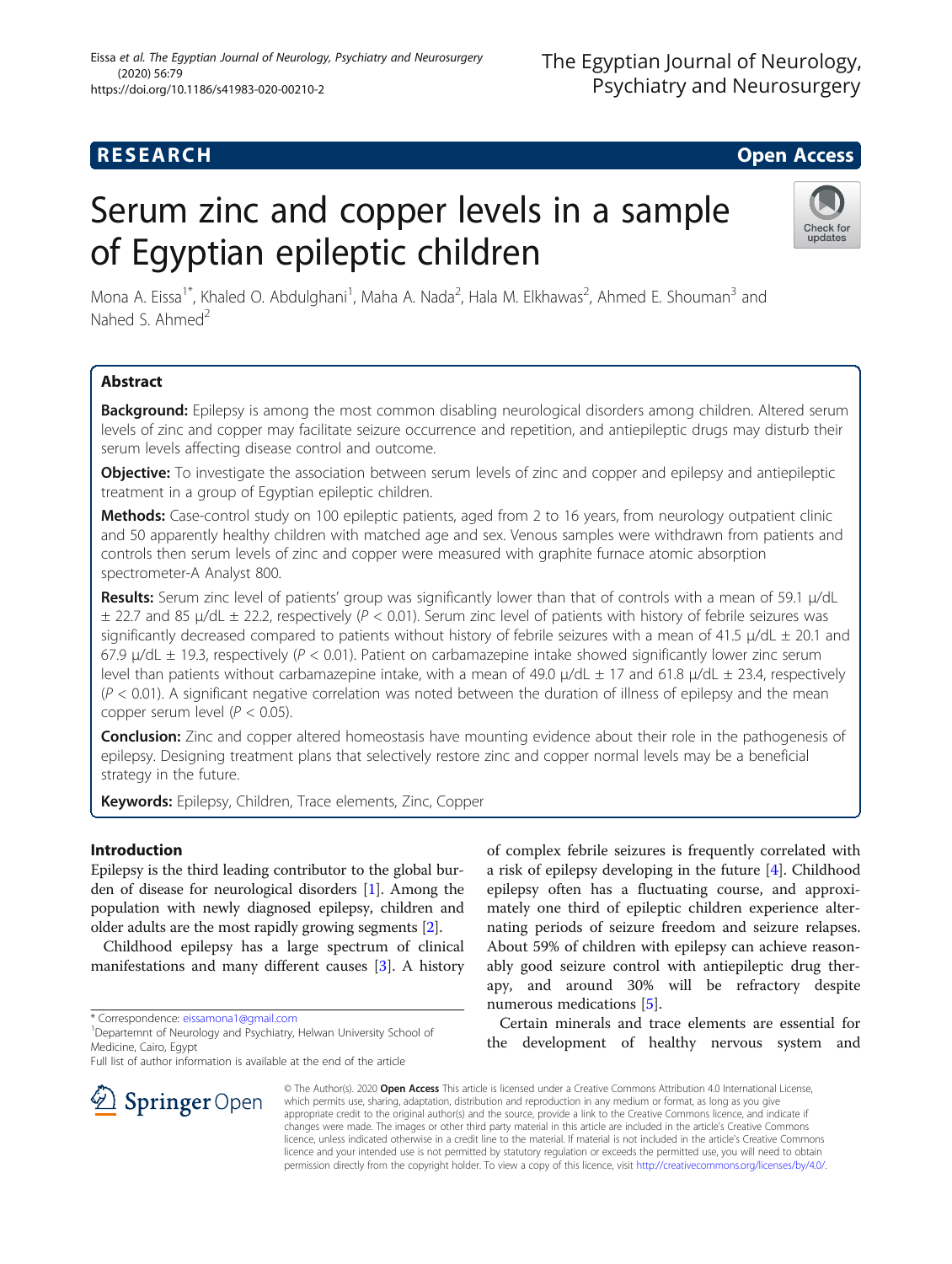# **RESEARCH CHE Open Access**

# Serum zinc and copper levels in a sample of Egyptian epileptic children



Mona A. Eissa<sup>1\*</sup>, Khaled O. Abdulghani<sup>1</sup>, Maha A. Nada<sup>2</sup>, Hala M. Elkhawas<sup>2</sup>, Ahmed E. Shouman<sup>3</sup> and Nahed S. Ahmed<sup>2</sup>

# Abstract

Background: Epilepsy is among the most common disabling neurological disorders among children. Altered serum levels of zinc and copper may facilitate seizure occurrence and repetition, and antiepileptic drugs may disturb their serum levels affecting disease control and outcome.

Objective: To investigate the association between serum levels of zinc and copper and epilepsy and antiepileptic treatment in a group of Egyptian epileptic children.

Methods: Case-control study on 100 epileptic patients, aged from 2 to 16 years, from neurology outpatient clinic and 50 apparently healthy children with matched age and sex. Venous samples were withdrawn from patients and controls then serum levels of zinc and copper were measured with graphite furnace atomic absorption spectrometer-A Analyst 800.

Results: Serum zinc level of patients' group was significantly lower than that of controls with a mean of 59.1  $\mu$ /dL  $\pm$  22.7 and 85 µ/dL  $\pm$  22.2, respectively (P < 0.01). Serum zinc level of patients with history of febrile seizures was significantly decreased compared to patients without history of febrile seizures with a mean of 41.5  $\mu$ /dL  $\pm$  20.1 and 67.9  $\mu$ /dL  $\pm$  19.3, respectively (P < 0.01). Patient on carbamazepine intake showed significantly lower zinc serum level than patients without carbamazepine intake, with a mean of 49.0 μ/dL  $\pm$  17 and 61.8 μ/dL  $\pm$  23.4, respectively  $(P < 0.01)$ . A significant negative correlation was noted between the duration of illness of epilepsy and the mean copper serum level ( $P < 0.05$ ).

**Conclusion:** Zinc and copper altered homeostasis have mounting evidence about their role in the pathogenesis of epilepsy. Designing treatment plans that selectively restore zinc and copper normal levels may be a beneficial strategy in the future.

Keywords: Epilepsy, Children, Trace elements, Zinc, Copper

## Introduction

Epilepsy is the third leading contributor to the global burden of disease for neurological disorders [\[1](#page-7-0)]. Among the population with newly diagnosed epilepsy, children and older adults are the most rapidly growing segments [\[2\]](#page-7-0).

Childhood epilepsy has a large spectrum of clinical manifestations and many different causes [\[3](#page-7-0)]. A history

\* Correspondence: [eissamona1@gmail.com](mailto:eissamona1@gmail.com) <sup>1</sup>

Full list of author information is available at the end of the article

of complex febrile seizures is frequently correlated with a risk of epilepsy developing in the future [\[4](#page-7-0)]. Childhood epilepsy often has a fluctuating course, and approximately one third of epileptic children experience alternating periods of seizure freedom and seizure relapses. About 59% of children with epilepsy can achieve reasonably good seizure control with antiepileptic drug therapy, and around 30% will be refractory despite numerous medications [\[5](#page-7-0)].

Certain minerals and trace elements are essential for the development of healthy nervous system and

© The Author(s). 2020 Open Access This article is licensed under a Creative Commons Attribution 4.0 International License, which permits use, sharing, adaptation, distribution and reproduction in any medium or format, as long as you give appropriate credit to the original author(s) and the source, provide a link to the Creative Commons licence, and indicate if changes were made. The images or other third party material in this article are included in the article's Creative Commons licence, unless indicated otherwise in a credit line to the material. If material is not included in the article's Creative Commons licence and your intended use is not permitted by statutory regulation or exceeds the permitted use, you will need to obtain permission directly from the copyright holder. To view a copy of this licence, visit <http://creativecommons.org/licenses/by/4.0/>.



<sup>&</sup>lt;sup>1</sup> Departemnt of Neurology and Psychiatry, Helwan University School of Medicine, Cairo, Egypt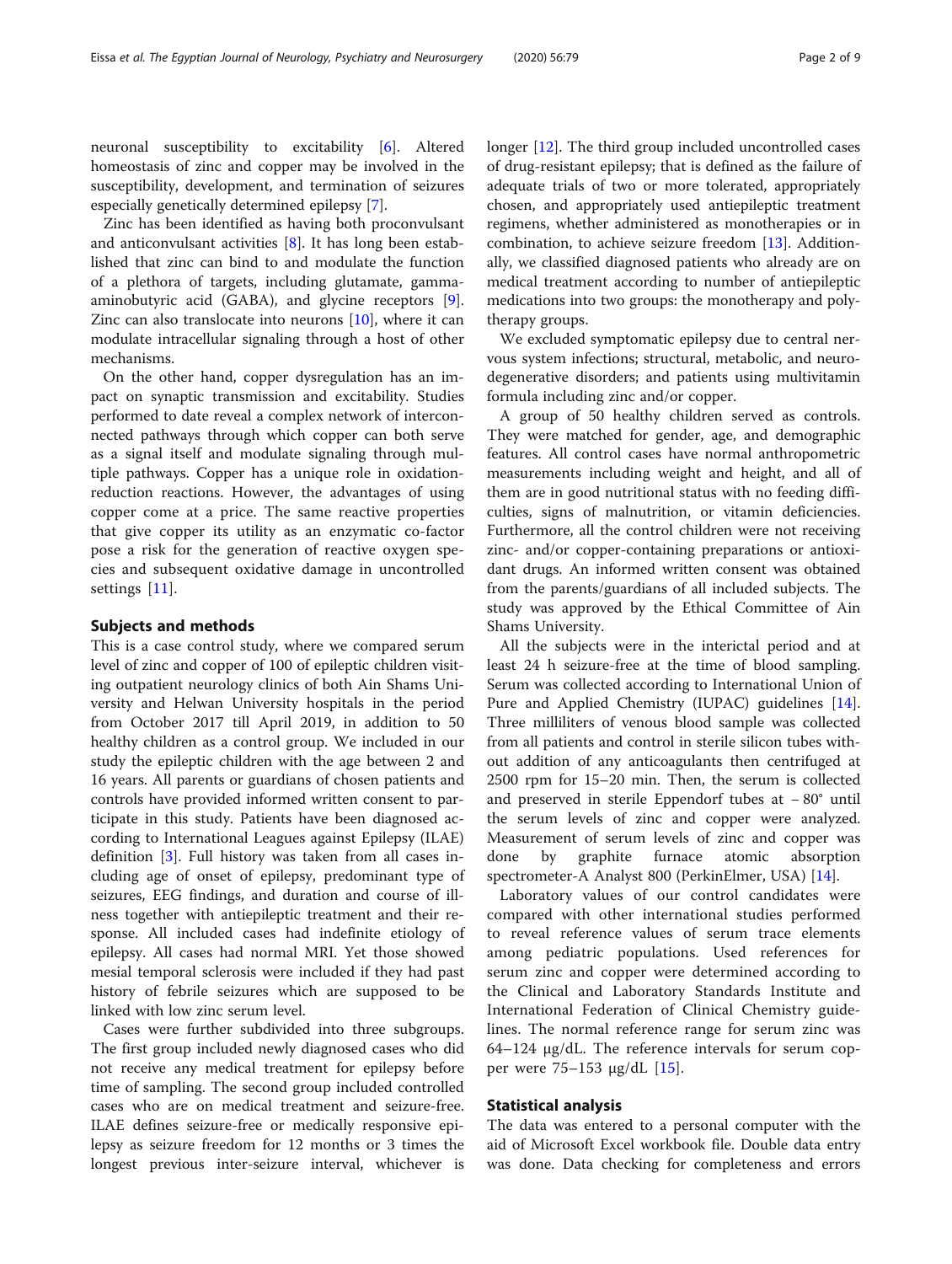neuronal susceptibility to excitability [\[6](#page-7-0)]. Altered homeostasis of zinc and copper may be involved in the susceptibility, development, and termination of seizures especially genetically determined epilepsy [\[7](#page-7-0)].

Zinc has been identified as having both proconvulsant and anticonvulsant activities [[8\]](#page-7-0). It has long been established that zinc can bind to and modulate the function of a plethora of targets, including glutamate, gammaaminobutyric acid (GABA), and glycine receptors [\[9](#page-7-0)]. Zinc can also translocate into neurons [\[10](#page-7-0)], where it can modulate intracellular signaling through a host of other mechanisms.

On the other hand, copper dysregulation has an impact on synaptic transmission and excitability. Studies performed to date reveal a complex network of interconnected pathways through which copper can both serve as a signal itself and modulate signaling through multiple pathways. Copper has a unique role in oxidationreduction reactions. However, the advantages of using copper come at a price. The same reactive properties that give copper its utility as an enzymatic co-factor pose a risk for the generation of reactive oxygen species and subsequent oxidative damage in uncontrolled settings [[11\]](#page-7-0).

#### Subjects and methods

This is a case control study, where we compared serum level of zinc and copper of 100 of epileptic children visiting outpatient neurology clinics of both Ain Shams University and Helwan University hospitals in the period from October 2017 till April 2019, in addition to 50 healthy children as a control group. We included in our study the epileptic children with the age between 2 and 16 years. All parents or guardians of chosen patients and controls have provided informed written consent to participate in this study. Patients have been diagnosed according to International Leagues against Epilepsy (ILAE) definition [\[3](#page-7-0)]. Full history was taken from all cases including age of onset of epilepsy, predominant type of seizures, EEG findings, and duration and course of illness together with antiepileptic treatment and their response. All included cases had indefinite etiology of epilepsy. All cases had normal MRI. Yet those showed mesial temporal sclerosis were included if they had past history of febrile seizures which are supposed to be linked with low zinc serum level.

Cases were further subdivided into three subgroups. The first group included newly diagnosed cases who did not receive any medical treatment for epilepsy before time of sampling. The second group included controlled cases who are on medical treatment and seizure-free. ILAE defines seizure-free or medically responsive epilepsy as seizure freedom for 12 months or 3 times the longest previous inter-seizure interval, whichever is longer [[12\]](#page-7-0). The third group included uncontrolled cases of drug-resistant epilepsy; that is defined as the failure of adequate trials of two or more tolerated, appropriately chosen, and appropriately used antiepileptic treatment regimens, whether administered as monotherapies or in combination, to achieve seizure freedom [\[13\]](#page-7-0). Additionally, we classified diagnosed patients who already are on medical treatment according to number of antiepileptic medications into two groups: the monotherapy and polytherapy groups.

We excluded symptomatic epilepsy due to central nervous system infections; structural, metabolic, and neurodegenerative disorders; and patients using multivitamin formula including zinc and/or copper.

A group of 50 healthy children served as controls. They were matched for gender, age, and demographic features. All control cases have normal anthropometric measurements including weight and height, and all of them are in good nutritional status with no feeding difficulties, signs of malnutrition, or vitamin deficiencies. Furthermore, all the control children were not receiving zinc- and/or copper-containing preparations or antioxidant drugs. An informed written consent was obtained from the parents/guardians of all included subjects. The study was approved by the Ethical Committee of Ain Shams University.

All the subjects were in the interictal period and at least 24 h seizure-free at the time of blood sampling. Serum was collected according to International Union of Pure and Applied Chemistry (IUPAC) guidelines [\[14](#page-7-0)]. Three milliliters of venous blood sample was collected from all patients and control in sterile silicon tubes without addition of any anticoagulants then centrifuged at 2500 rpm for 15–20 min. Then, the serum is collected and preserved in sterile Eppendorf tubes at − 80° until the serum levels of zinc and copper were analyzed. Measurement of serum levels of zinc and copper was done by graphite furnace atomic absorption spectrometer-A Analyst 800 (PerkinElmer, USA) [[14](#page-7-0)].

Laboratory values of our control candidates were compared with other international studies performed to reveal reference values of serum trace elements among pediatric populations. Used references for serum zinc and copper were determined according to the Clinical and Laboratory Standards Institute and International Federation of Clinical Chemistry guidelines. The normal reference range for serum zinc was 64–124 μg/dL. The reference intervals for serum copper were 75–153 μg/dL [[15\]](#page-7-0).

#### Statistical analysis

The data was entered to a personal computer with the aid of Microsoft Excel workbook file. Double data entry was done. Data checking for completeness and errors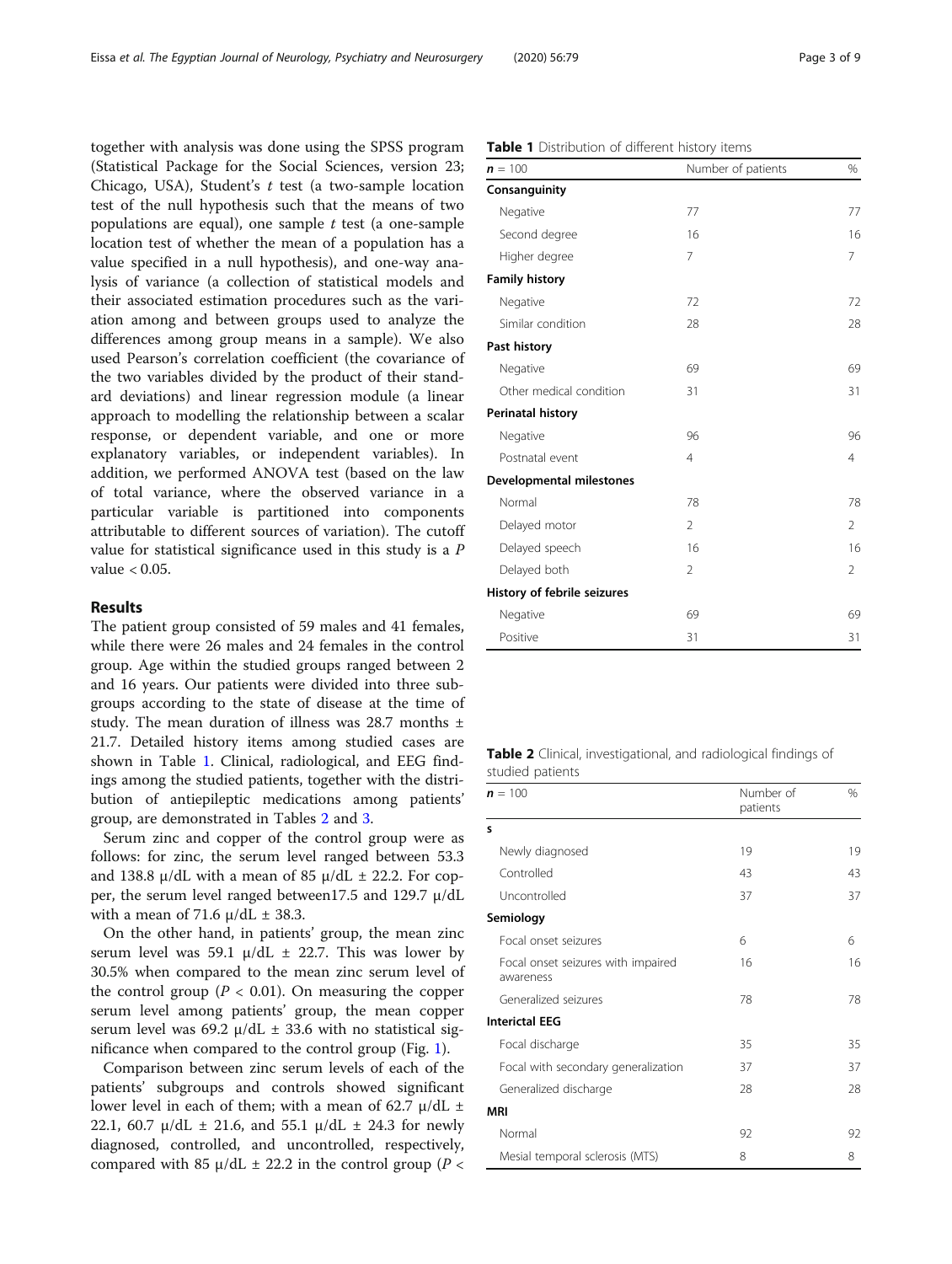together with analysis was done using the SPSS program (Statistical Package for the Social Sciences, version 23; Chicago, USA), Student's t test (a two-sample location test of the null hypothesis such that the means of two populations are equal), one sample  $t$  test (a one-sample location test of whether the mean of a population has a value specified in a null hypothesis), and one-way analysis of variance (a collection of statistical models and their associated estimation procedures such as the variation among and between groups used to analyze the differences among group means in a sample). We also used Pearson's correlation coefficient (the covariance of the two variables divided by the product of their standard deviations) and linear regression module (a linear approach to modelling the relationship between a scalar response, or dependent variable, and one or more explanatory variables, or independent variables). In addition, we performed ANOVA test (based on the law of total variance, where the observed variance in a particular variable is partitioned into components attributable to different sources of variation). The cutoff value for statistical significance used in this study is a P value < 0.05.

### Results

The patient group consisted of 59 males and 41 females, while there were 26 males and 24 females in the control group. Age within the studied groups ranged between 2 and 16 years. Our patients were divided into three subgroups according to the state of disease at the time of study. The mean duration of illness was 28.7 months ± 21.7. Detailed history items among studied cases are shown in Table 1. Clinical, radiological, and EEG findings among the studied patients, together with the distribution of antiepileptic medications among patients' group, are demonstrated in Tables 2 and [3.](#page-3-0)

Serum zinc and copper of the control group were as follows: for zinc, the serum level ranged between 53.3 and 138.8  $\mu$ /dL with a mean of 85  $\mu$ /dL  $\pm$  22.2. For copper, the serum level ranged between17.5 and 129.7 μ/dL with a mean of 71.6  $\mu$ /dL  $\pm$  38.3.

On the other hand, in patients' group, the mean zinc serum level was 59.1  $\mu$ /dL  $\pm$  22.7. This was lower by 30.5% when compared to the mean zinc serum level of the control group ( $P < 0.01$ ). On measuring the copper serum level among patients' group, the mean copper serum level was 69.2  $\mu$ /dL  $\pm$  33.6 with no statistical significance when compared to the control group (Fig. [1](#page-3-0)).

Comparison between zinc serum levels of each of the patients' subgroups and controls showed significant lower level in each of them; with a mean of 62.7  $\mu$ /dL  $\pm$ 22.1, 60.7  $\mu$ /dL  $\pm$  21.6, and 55.1  $\mu$ /dL  $\pm$  24.3 for newly diagnosed, controlled, and uncontrolled, respectively, compared with 85  $\mu$ /dL  $\pm$  22.2 in the control group (P <

| $n = 100$                       | Number of patients | %              |
|---------------------------------|--------------------|----------------|
| Consanguinity                   |                    |                |
| Negative                        | 77                 | 77             |
| Second degree                   | 16                 | 16             |
| Higher degree                   | 7                  | 7              |
| <b>Family history</b>           |                    |                |
| Negative                        | 72                 | 72             |
| Similar condition               | 28                 | 28             |
| Past history                    |                    |                |
| Negative                        | 69                 | 69             |
| Other medical condition         | 31                 | 31             |
| Perinatal history               |                    |                |
| Negative                        | 96                 | 96             |
| Postnatal event                 | $\overline{4}$     | $\overline{4}$ |
| <b>Developmental milestones</b> |                    |                |
| Normal                          | 78                 | 78             |
| Delayed motor                   | $\overline{2}$     | $\overline{2}$ |
| Delayed speech                  | 16                 | 16             |
| Delayed both                    | 2                  | 2              |
| History of febrile seizures     |                    |                |
| Negative                        | 69                 | 69             |
| Positive                        | 31                 | 31             |

Table 2 Clinical, investigational, and radiological findings of studied patients

| $n = 100$                                       | Number of<br>patients | $\%$ |
|-------------------------------------------------|-----------------------|------|
| s                                               |                       |      |
| Newly diagnosed                                 | 19                    | 19   |
| Controlled                                      | 43                    | 43   |
| Uncontrolled                                    | 37                    | 37   |
| Semiology                                       |                       |      |
| Focal onset seizures                            | 6                     | 6    |
| Focal onset seizures with impaired<br>awareness | 16                    | 16   |
| Generalized seizures                            | 78                    | 78   |
| <b>Interictal EEG</b>                           |                       |      |
| Focal discharge                                 | 35                    | 35   |
| Focal with secondary generalization             | 37                    | 37   |
| Generalized discharge                           | 28                    | 28   |
| <b>MRI</b>                                      |                       |      |
| Normal                                          | 92                    | 92   |
| Mesial temporal sclerosis (MTS)                 | 8                     | 8    |

#### Table 1 Distribution of different history items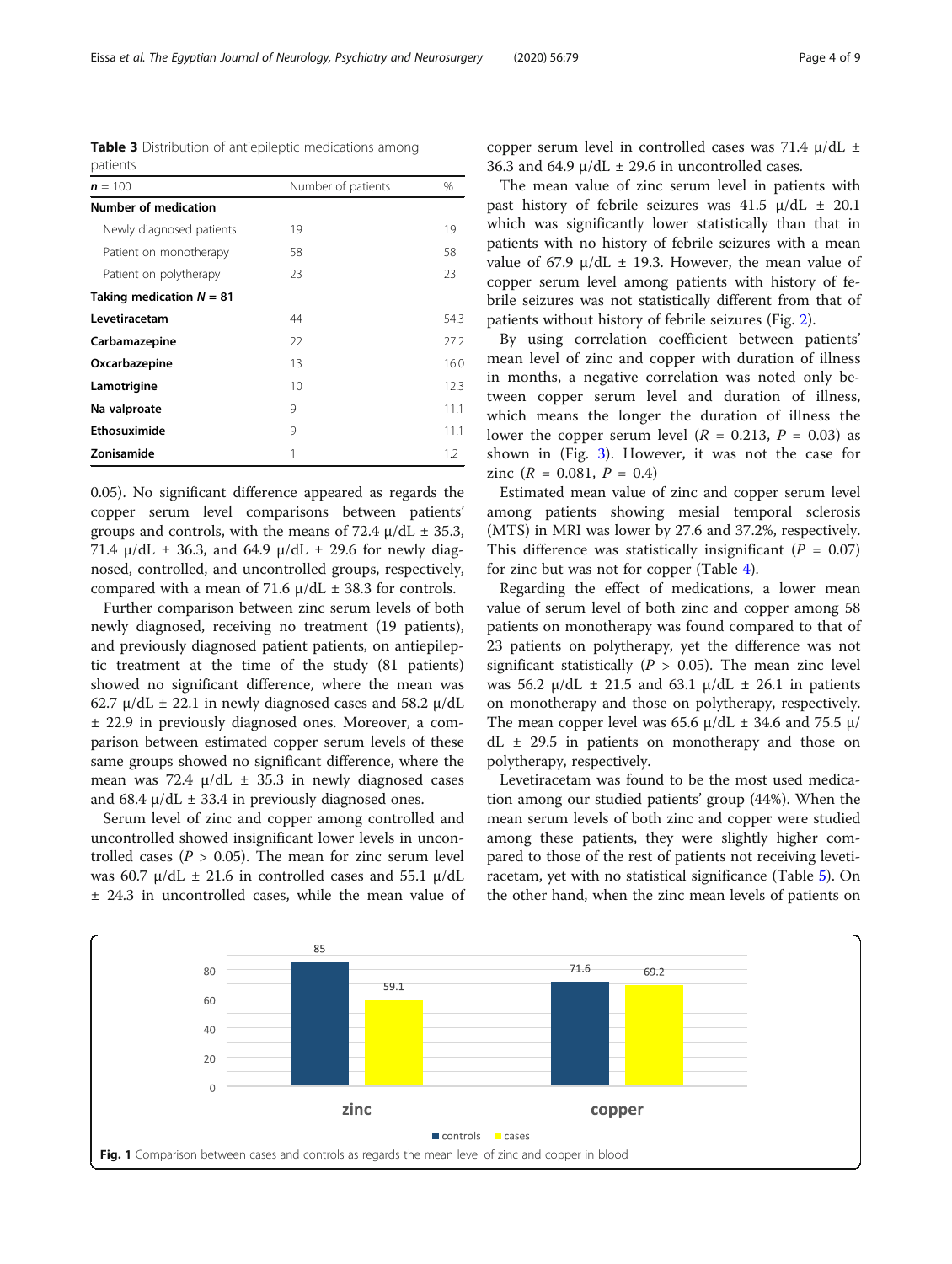newly diagnosed, receiving no treatment (19 patients), and previously diagnosed patient patients, on antiepileptic treatment at the time of the study (81 patients) showed no significant difference, where the mean was 62.7  $\mu$ /dL  $\pm$  22.1 in newly diagnosed cases and 58.2  $\mu$ /dL ± 22.9 in previously diagnosed ones. Moreover, a comparison between estimated copper serum levels of these same groups showed no significant difference, where the mean was 72.4  $\mu$ /dL  $\pm$  35.3 in newly diagnosed cases and 68.4  $\mu$ /dL  $\pm$  33.4 in previously diagnosed ones.

Serum level of zinc and copper among controlled and uncontrolled showed insignificant lower levels in uncontrolled cases ( $P > 0.05$ ). The mean for zinc serum level was 60.7  $\mu$ /dL  $\pm$  21.6 in controlled cases and 55.1  $\mu$ /dL ± 24.3 in uncontrolled cases, while the mean value of copper serum level in controlled cases was 71.4 μ/dL ± 36.3 and 64.9  $\mu$ /dL  $\pm$  29.6 in uncontrolled cases.

The mean value of zinc serum level in patients with past history of febrile seizures was 41.5  $\mu$ /dL  $\pm$  20.1 which was significantly lower statistically than that in patients with no history of febrile seizures with a mean value of 67.9  $\mu$ /dL  $\pm$  19.3. However, the mean value of copper serum level among patients with history of febrile seizures was not statistically different from that of patients without history of febrile seizures (Fig. [2](#page-4-0)).

By using correlation coefficient between patients' mean level of zinc and copper with duration of illness in months, a negative correlation was noted only between copper serum level and duration of illness, which means the longer the duration of illness the lower the copper serum level ( $R = 0.213$ ,  $P = 0.03$ ) as shown in (Fig. [3\)](#page-4-0). However, it was not the case for zinc  $(R = 0.081, P = 0.4)$ 

Estimated mean value of zinc and copper serum level among patients showing mesial temporal sclerosis (MTS) in MRI was lower by 27.6 and 37.2%, respectively. This difference was statistically insignificant ( $P = 0.07$ ) for zinc but was not for copper (Table [4\)](#page-5-0).

Regarding the effect of medications, a lower mean value of serum level of both zinc and copper among 58 patients on monotherapy was found compared to that of 23 patients on polytherapy, yet the difference was not significant statistically ( $P > 0.05$ ). The mean zinc level was 56.2  $\mu$ /dL  $\pm$  21.5 and 63.1  $\mu$ /dL  $\pm$  26.1 in patients on monotherapy and those on polytherapy, respectively. The mean copper level was 65.6  $\mu$ /dL  $\pm$  34.6 and 75.5  $\mu$ /  $dL \pm 29.5$  in patients on monotherapy and those on polytherapy, respectively.

Levetiracetam was found to be the most used medication among our studied patients' group (44%). When the mean serum levels of both zinc and copper were studied among these patients, they were slightly higher compared to those of the rest of patients not receiving levetiracetam, yet with no statistical significance (Table [5](#page-5-0)). On the other hand, when the zinc mean levels of patients on

<span id="page-3-0"></span>

Table 3 Distribution of antiepileptic medications among

 $n = 100$  Number of patients  $\%$ 

Newly diagnosed patients 19 19 Patient on monotherapy 58 58 Patient on polytherapy 23 23

Levetiracetam 44 54.3 Carbamazepine 22 27.2 Oxcarbazepine 13 16.0 Lamotrigine 10 12.3 Na valproate and 9 11.1 Ethosuximide 9 11.1 **Zonisamide** 1 1.2

patients

Number of medication

Taking medication  $N = 81$ 





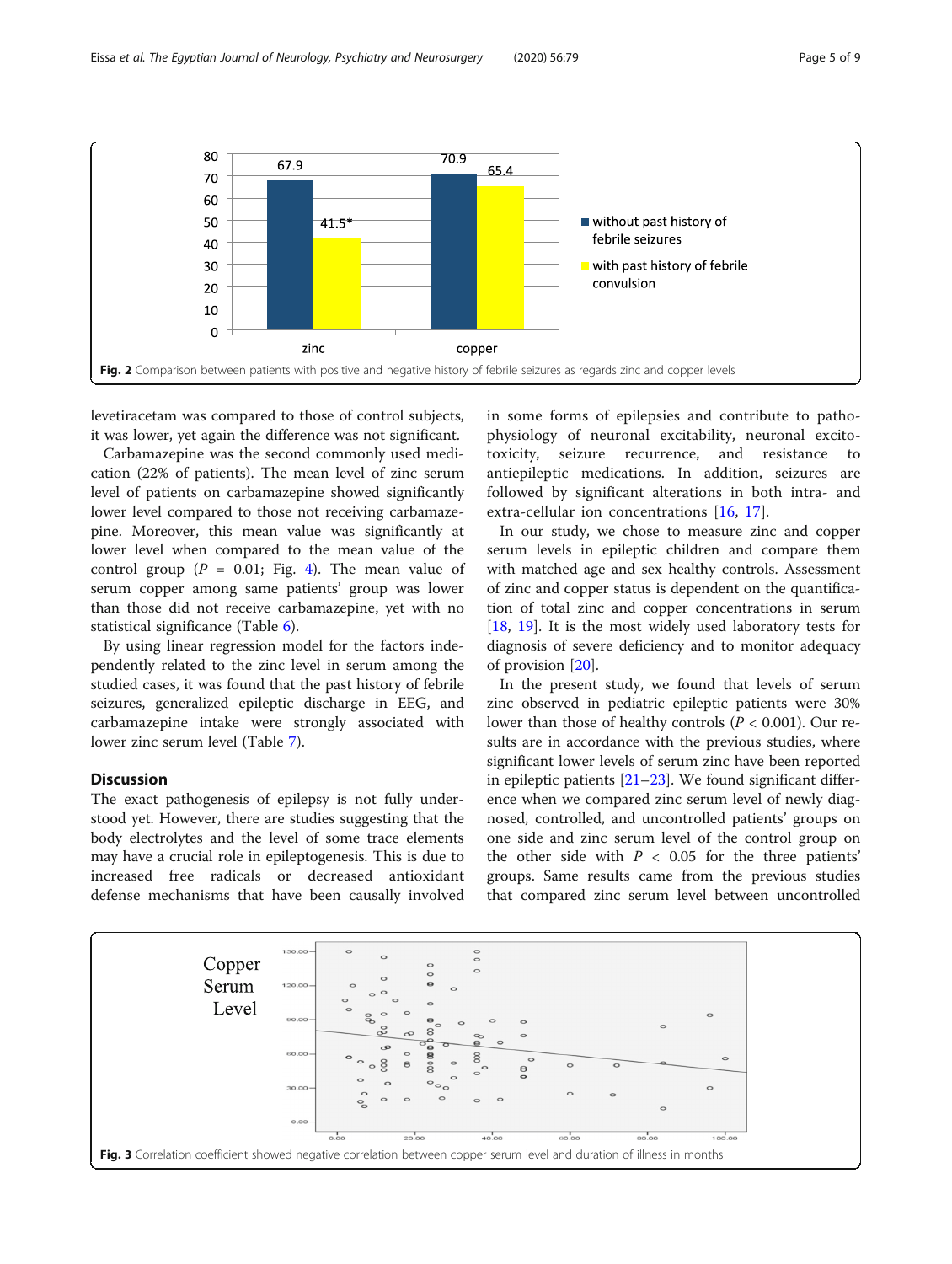<span id="page-4-0"></span>

levetiracetam was compared to those of control subjects, it was lower, yet again the difference was not significant.

Carbamazepine was the second commonly used medication (22% of patients). The mean level of zinc serum level of patients on carbamazepine showed significantly lower level compared to those not receiving carbamazepine. Moreover, this mean value was significantly at lower level when compared to the mean value of the control group  $(P = 0.01;$  Fig. [4\)](#page-6-0). The mean value of serum copper among same patients' group was lower than those did not receive carbamazepine, yet with no statistical significance (Table [6\)](#page-6-0).

By using linear regression model for the factors independently related to the zinc level in serum among the studied cases, it was found that the past history of febrile seizures, generalized epileptic discharge in EEG, and carbamazepine intake were strongly associated with lower zinc serum level (Table [7](#page-7-0)).

#### Discussion

The exact pathogenesis of epilepsy is not fully understood yet. However, there are studies suggesting that the body electrolytes and the level of some trace elements may have a crucial role in epileptogenesis. This is due to increased free radicals or decreased antioxidant defense mechanisms that have been causally involved in some forms of epilepsies and contribute to pathophysiology of neuronal excitability, neuronal excitotoxicity, seizure recurrence, and resistance to antiepileptic medications. In addition, seizures are followed by significant alterations in both intra- and extra-cellular ion concentrations [[16,](#page-8-0) [17](#page-8-0)].

In our study, we chose to measure zinc and copper serum levels in epileptic children and compare them with matched age and sex healthy controls. Assessment of zinc and copper status is dependent on the quantification of total zinc and copper concentrations in serum [[18,](#page-8-0) [19\]](#page-8-0). It is the most widely used laboratory tests for diagnosis of severe deficiency and to monitor adequacy of provision [[20\]](#page-8-0).

In the present study, we found that levels of serum zinc observed in pediatric epileptic patients were 30% lower than those of healthy controls ( $P < 0.001$ ). Our results are in accordance with the previous studies, where significant lower levels of serum zinc have been reported in epileptic patients [[21](#page-8-0)–[23\]](#page-8-0). We found significant difference when we compared zinc serum level of newly diagnosed, controlled, and uncontrolled patients' groups on one side and zinc serum level of the control group on the other side with  $P < 0.05$  for the three patients' groups. Same results came from the previous studies that compared zinc serum level between uncontrolled

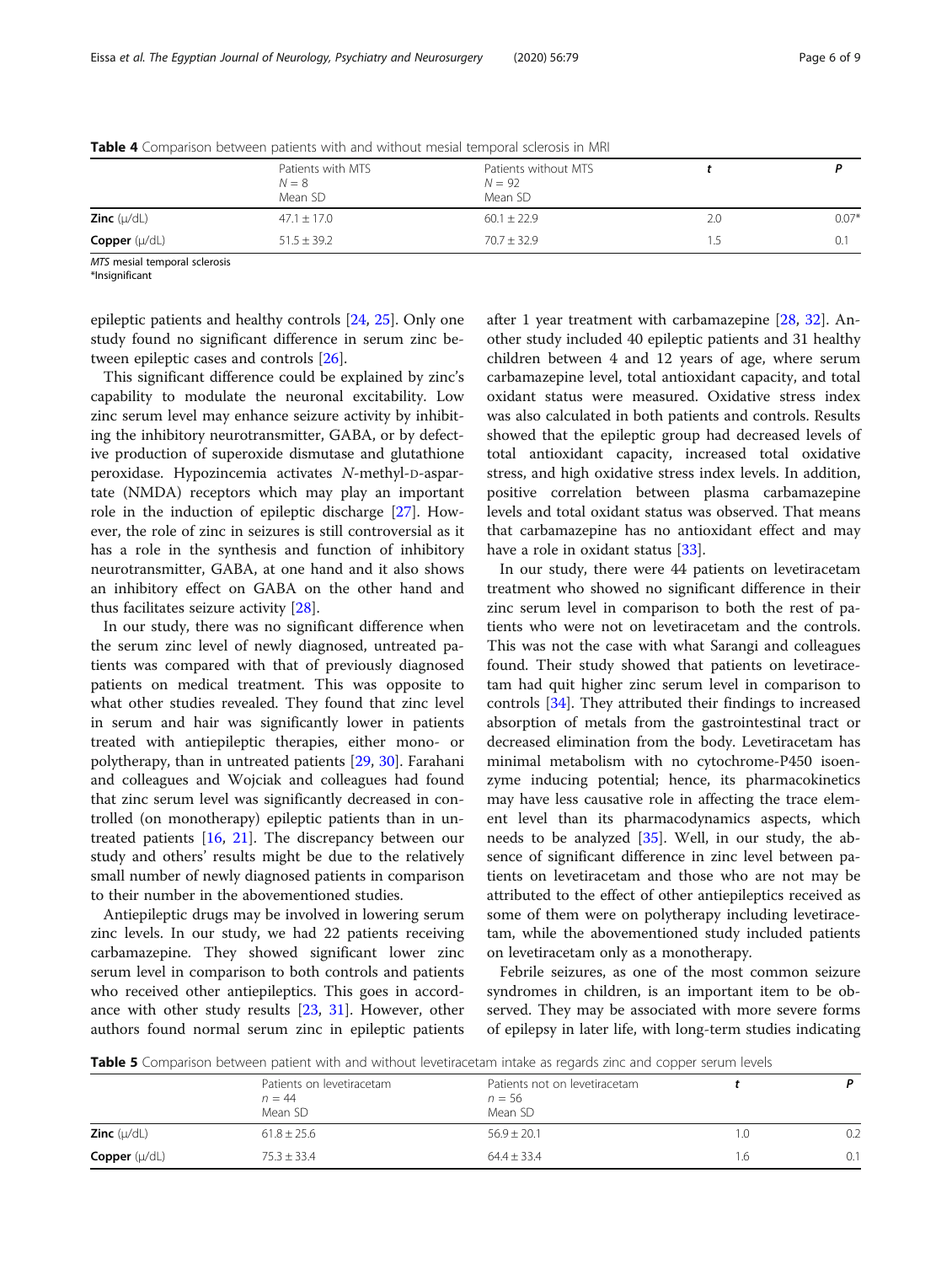|                          | Patients with MTS<br>$N = 8$<br>Mean SD | Patients without MTS<br>$N = 92$<br>Mean SD |     |         |  |
|--------------------------|-----------------------------------------|---------------------------------------------|-----|---------|--|
| <b>Zinc</b> $(\mu/dL)$   | $47.1 \pm 17.0$                         | $60.1 \pm 22.9$                             | 2.C | $0.07*$ |  |
| <b>Copper</b> $(\mu/dL)$ | $51.5 \pm 39.2$                         | $70.7 + 32.9$                               |     |         |  |

<span id="page-5-0"></span>Table 4 Comparison between patients with and without mesial temporal sclerosis in MRI

MTS mesial temporal sclerosis

 $*$ Insignificant

epileptic patients and healthy controls [\[24](#page-8-0), [25](#page-8-0)]. Only one study found no significant difference in serum zinc between epileptic cases and controls [\[26](#page-8-0)].

This significant difference could be explained by zinc's capability to modulate the neuronal excitability. Low zinc serum level may enhance seizure activity by inhibiting the inhibitory neurotransmitter, GABA, or by defective production of superoxide dismutase and glutathione peroxidase. Hypozincemia activates N-methyl-D-aspartate (NMDA) receptors which may play an important role in the induction of epileptic discharge [[27\]](#page-8-0). However, the role of zinc in seizures is still controversial as it has a role in the synthesis and function of inhibitory neurotransmitter, GABA, at one hand and it also shows an inhibitory effect on GABA on the other hand and thus facilitates seizure activity [\[28\]](#page-8-0).

In our study, there was no significant difference when the serum zinc level of newly diagnosed, untreated patients was compared with that of previously diagnosed patients on medical treatment. This was opposite to what other studies revealed. They found that zinc level in serum and hair was significantly lower in patients treated with antiepileptic therapies, either mono- or polytherapy, than in untreated patients [\[29](#page-8-0), [30\]](#page-8-0). Farahani and colleagues and Wojciak and colleagues had found that zinc serum level was significantly decreased in controlled (on monotherapy) epileptic patients than in untreated patients [\[16](#page-8-0), [21\]](#page-8-0). The discrepancy between our study and others' results might be due to the relatively small number of newly diagnosed patients in comparison to their number in the abovementioned studies.

Antiepileptic drugs may be involved in lowering serum zinc levels. In our study, we had 22 patients receiving carbamazepine. They showed significant lower zinc serum level in comparison to both controls and patients who received other antiepileptics. This goes in accordance with other study results [\[23](#page-8-0), [31\]](#page-8-0). However, other authors found normal serum zinc in epileptic patients after 1 year treatment with carbamazepine [\[28](#page-8-0), [32\]](#page-8-0). Another study included 40 epileptic patients and 31 healthy children between 4 and 12 years of age, where serum carbamazepine level, total antioxidant capacity, and total oxidant status were measured. Oxidative stress index was also calculated in both patients and controls. Results showed that the epileptic group had decreased levels of total antioxidant capacity, increased total oxidative stress, and high oxidative stress index levels. In addition, positive correlation between plasma carbamazepine levels and total oxidant status was observed. That means that carbamazepine has no antioxidant effect and may have a role in oxidant status [[33](#page-8-0)].

In our study, there were 44 patients on levetiracetam treatment who showed no significant difference in their zinc serum level in comparison to both the rest of patients who were not on levetiracetam and the controls. This was not the case with what Sarangi and colleagues found. Their study showed that patients on levetiracetam had quit higher zinc serum level in comparison to controls [\[34](#page-8-0)]. They attributed their findings to increased absorption of metals from the gastrointestinal tract or decreased elimination from the body. Levetiracetam has minimal metabolism with no cytochrome-P450 isoenzyme inducing potential; hence, its pharmacokinetics may have less causative role in affecting the trace element level than its pharmacodynamics aspects, which needs to be analyzed [\[35](#page-8-0)]. Well, in our study, the absence of significant difference in zinc level between patients on levetiracetam and those who are not may be attributed to the effect of other antiepileptics received as some of them were on polytherapy including levetiracetam, while the abovementioned study included patients on levetiracetam only as a monotherapy.

Febrile seizures, as one of the most common seizure syndromes in children, is an important item to be observed. They may be associated with more severe forms of epilepsy in later life, with long-term studies indicating

Table 5 Comparison between patient with and without levetiracetam intake as regards zinc and copper serum levels

| <b>Table J</b> Companion between patient with and without revetilacetam intake as regards zinc and copper serum revers |                                                  |                                                      |     |     |
|------------------------------------------------------------------------------------------------------------------------|--------------------------------------------------|------------------------------------------------------|-----|-----|
|                                                                                                                        | Patients on levetiracetam<br>$n = 44$<br>Mean SD | Patients not on levetiracetam<br>$n = 56$<br>Mean SD |     |     |
| <b>Zinc</b> $(u/dL)$                                                                                                   | $61.8 \pm 25.6$                                  | $56.9 + 20.1$                                        | 1.O | 0.2 |
| <b>Copper</b> $(\mu/dL)$                                                                                               | $75.3 + 33.4$                                    | $64.4 + 33.4$                                        | l.6 | 0.1 |
|                                                                                                                        |                                                  |                                                      |     |     |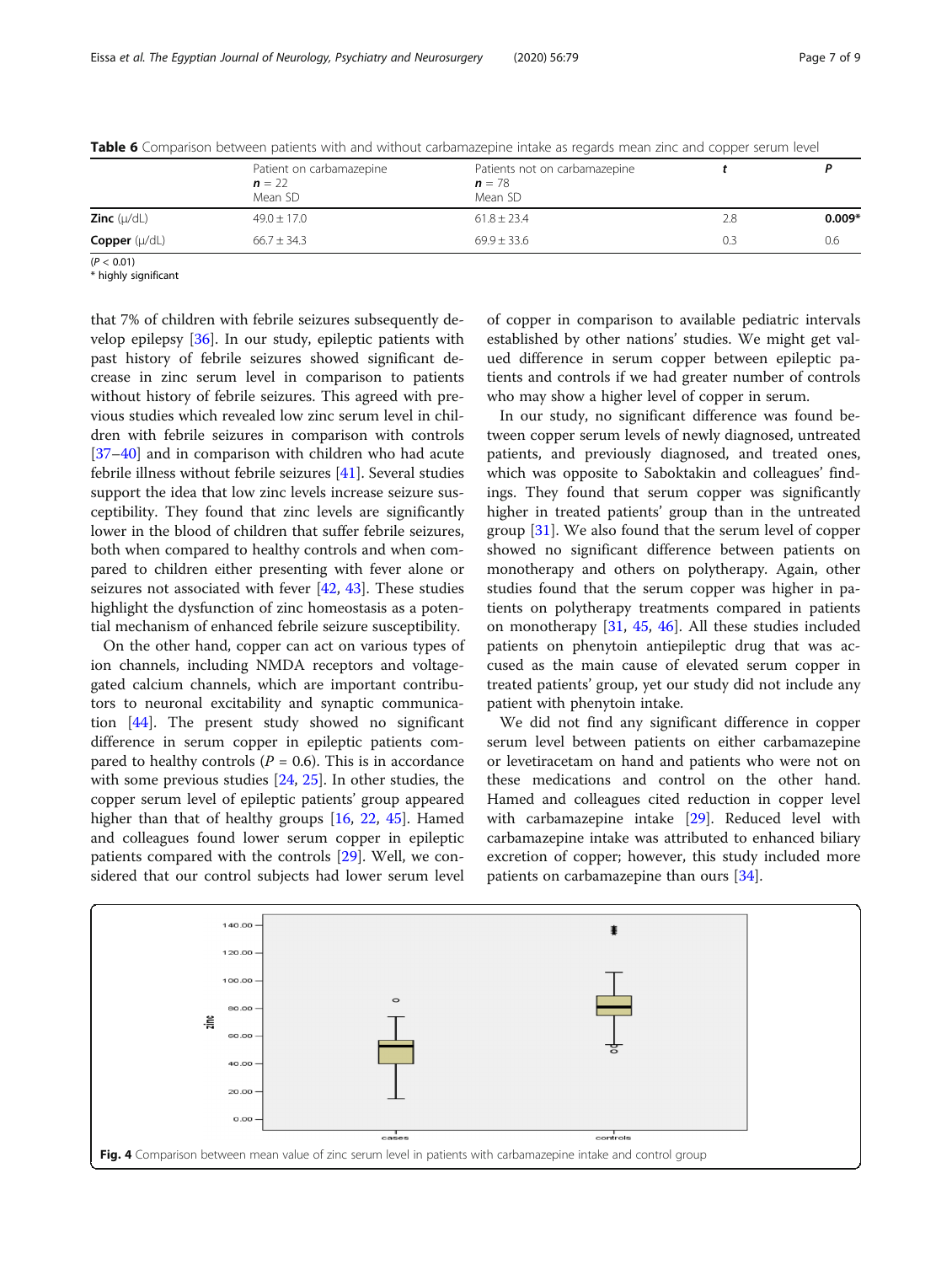|                          | Patient on carbamazepine<br>$n = 22$<br>Mean SD | Patients not on carbamazepine<br>$n = 78$<br>Mean SD |     |          |
|--------------------------|-------------------------------------------------|------------------------------------------------------|-----|----------|
| <b>Zinc</b> $(\mu/dL)$   | $49.0 \pm 17.0$                                 | $61.8 \pm 23.4$                                      | 2.8 | $0.009*$ |
| <b>Copper</b> $(\mu/dL)$ | $66.7 \pm 34.3$                                 | $69.9 + 33.6$                                        | 0.3 | 0.6      |

<span id="page-6-0"></span>Table 6 Comparison between patients with and without carbamazepine intake as regards mean zinc and copper serum level

 $(P < 0.01)$ 

\* highly significant

that 7% of children with febrile seizures subsequently develop epilepsy [[36](#page-8-0)]. In our study, epileptic patients with past history of febrile seizures showed significant decrease in zinc serum level in comparison to patients without history of febrile seizures. This agreed with previous studies which revealed low zinc serum level in children with febrile seizures in comparison with controls [[37](#page-8-0)–[40](#page-8-0)] and in comparison with children who had acute febrile illness without febrile seizures [[41\]](#page-8-0). Several studies support the idea that low zinc levels increase seizure susceptibility. They found that zinc levels are significantly lower in the blood of children that suffer febrile seizures, both when compared to healthy controls and when compared to children either presenting with fever alone or seizures not associated with fever [\[42,](#page-8-0) [43](#page-8-0)]. These studies highlight the dysfunction of zinc homeostasis as a potential mechanism of enhanced febrile seizure susceptibility.

On the other hand, copper can act on various types of ion channels, including NMDA receptors and voltagegated calcium channels, which are important contributors to neuronal excitability and synaptic communication [[44\]](#page-8-0). The present study showed no significant difference in serum copper in epileptic patients compared to healthy controls ( $P = 0.6$ ). This is in accordance with some previous studies [\[24](#page-8-0), [25](#page-8-0)]. In other studies, the copper serum level of epileptic patients' group appeared higher than that of healthy groups [[16](#page-8-0), [22](#page-8-0), [45](#page-8-0)]. Hamed and colleagues found lower serum copper in epileptic patients compared with the controls [[29\]](#page-8-0). Well, we considered that our control subjects had lower serum level of copper in comparison to available pediatric intervals established by other nations' studies. We might get valued difference in serum copper between epileptic patients and controls if we had greater number of controls who may show a higher level of copper in serum.

In our study, no significant difference was found between copper serum levels of newly diagnosed, untreated patients, and previously diagnosed, and treated ones, which was opposite to Saboktakin and colleagues' findings. They found that serum copper was significantly higher in treated patients' group than in the untreated group [[31\]](#page-8-0). We also found that the serum level of copper showed no significant difference between patients on monotherapy and others on polytherapy. Again, other studies found that the serum copper was higher in patients on polytherapy treatments compared in patients on monotherapy [\[31](#page-8-0), [45,](#page-8-0) [46\]](#page-8-0). All these studies included patients on phenytoin antiepileptic drug that was accused as the main cause of elevated serum copper in treated patients' group, yet our study did not include any patient with phenytoin intake.

We did not find any significant difference in copper serum level between patients on either carbamazepine or levetiracetam on hand and patients who were not on these medications and control on the other hand. Hamed and colleagues cited reduction in copper level with carbamazepine intake [[29\]](#page-8-0). Reduced level with carbamazepine intake was attributed to enhanced biliary excretion of copper; however, this study included more patients on carbamazepine than ours [\[34](#page-8-0)].

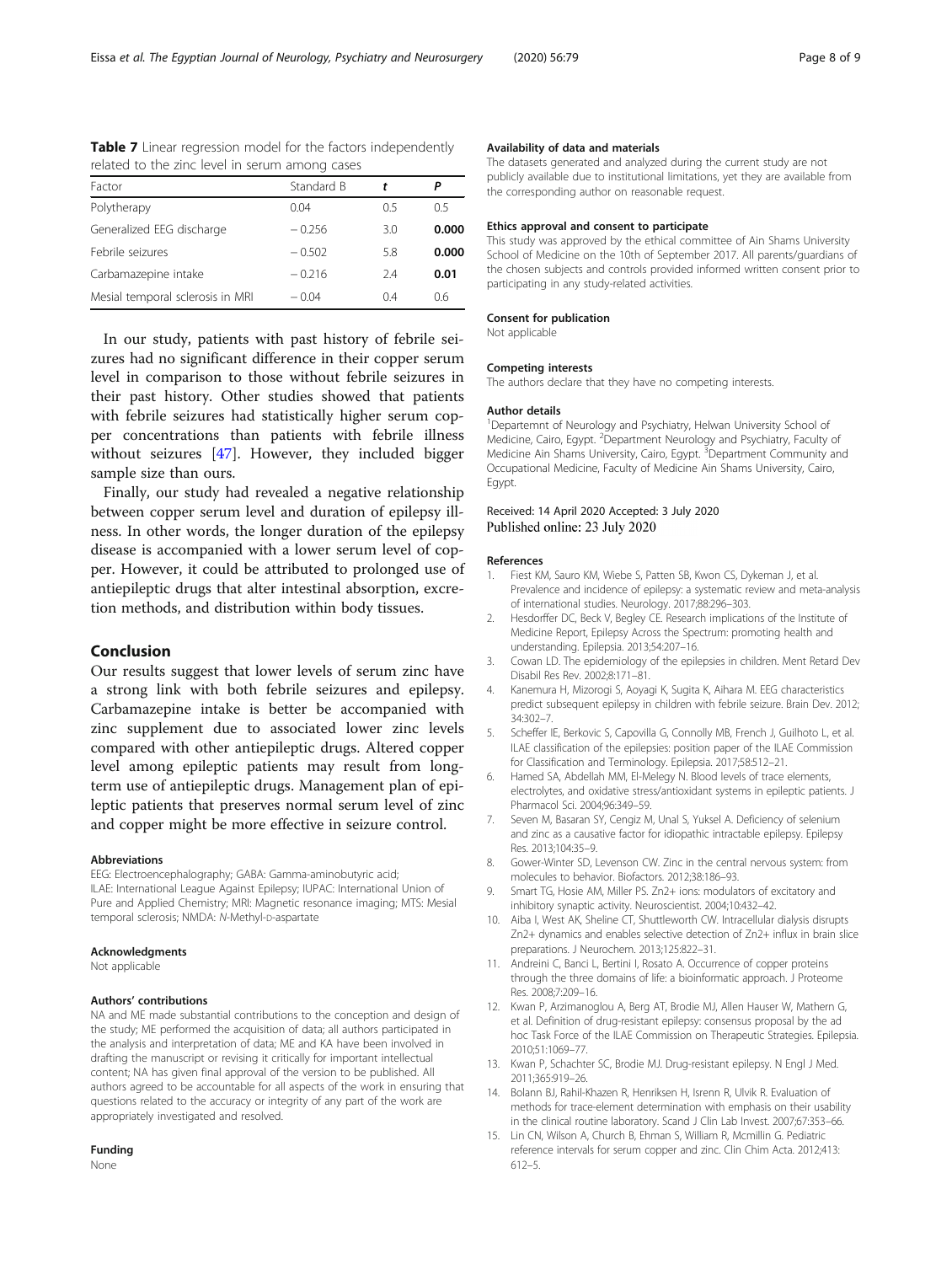| Telated to the zinc level in serum among cases |            |     |       |  |
|------------------------------------------------|------------|-----|-------|--|
| Factor                                         | Standard B |     |       |  |
| Polytherapy                                    | 0.04       | 0.5 | 0.5   |  |
| Generalized EEG discharge                      | $-0.256$   | 3.0 | 0.000 |  |
| Febrile seizures                               | $-0.502$   | 5.8 | 0.000 |  |
| Carbamazepine intake                           | $-0.216$   | 2.4 | 0.01  |  |
| Mesial temporal sclerosis in MRI               | $-0.04$    | 0.4 | 0.6   |  |

<span id="page-7-0"></span>Table 7 Linear regression model for the factors independently related to the zinc level in serum among cases

In our study, patients with past history of febrile seizures had no significant difference in their copper serum level in comparison to those without febrile seizures in their past history. Other studies showed that patients with febrile seizures had statistically higher serum copper concentrations than patients with febrile illness without seizures [\[47](#page-8-0)]. However, they included bigger sample size than ours.

Finally, our study had revealed a negative relationship between copper serum level and duration of epilepsy illness. In other words, the longer duration of the epilepsy disease is accompanied with a lower serum level of copper. However, it could be attributed to prolonged use of antiepileptic drugs that alter intestinal absorption, excretion methods, and distribution within body tissues.

#### Conclusion

Our results suggest that lower levels of serum zinc have a strong link with both febrile seizures and epilepsy. Carbamazepine intake is better be accompanied with zinc supplement due to associated lower zinc levels compared with other antiepileptic drugs. Altered copper level among epileptic patients may result from longterm use of antiepileptic drugs. Management plan of epileptic patients that preserves normal serum level of zinc and copper might be more effective in seizure control.

#### Abbreviations

EEG: Electroencephalography; GABA: Gamma-aminobutyric acid; ILAE: International League Against Epilepsy; IUPAC: International Union of Pure and Applied Chemistry; MRI: Magnetic resonance imaging; MTS: Mesial temporal sclerosis; NMDA: N-Methyl-D-aspartate

#### Acknowledgments

Not applicable

#### Authors' contributions

NA and ME made substantial contributions to the conception and design of the study; ME performed the acquisition of data; all authors participated in the analysis and interpretation of data; ME and KA have been involved in drafting the manuscript or revising it critically for important intellectual content; NA has given final approval of the version to be published. All authors agreed to be accountable for all aspects of the work in ensuring that questions related to the accuracy or integrity of any part of the work are appropriately investigated and resolved.

#### Funding

None

#### Availability of data and materials

The datasets generated and analyzed during the current study are not publicly available due to institutional limitations, yet they are available from the corresponding author on reasonable request.

#### Ethics approval and consent to participate

This study was approved by the ethical committee of Ain Shams University School of Medicine on the 10th of September 2017. All parents/guardians of the chosen subjects and controls provided informed written consent prior to participating in any study-related activities.

#### Consent for publication

Not applicable

#### Competing interests

The authors declare that they have no competing interests.

#### Author details

<sup>1</sup>Departemnt of Neurology and Psychiatry, Helwan University School of Medicine, Cairo, Egypt. <sup>2</sup>Department Neurology and Psychiatry, Faculty of Medicine Ain Shams University, Cairo, Egypt. <sup>3</sup>Department Community and Occupational Medicine, Faculty of Medicine Ain Shams University, Cairo, Egypt.

#### Received: 14 April 2020 Accepted: 3 July 2020 Published online: 23 July 2020

#### References

- 1. Fiest KM, Sauro KM, Wiebe S, Patten SB, Kwon CS, Dykeman J, et al. Prevalence and incidence of epilepsy: a systematic review and meta-analysis of international studies. Neurology. 2017;88:296–303.
- 2. Hesdorffer DC, Beck V, Begley CE. Research implications of the Institute of Medicine Report, Epilepsy Across the Spectrum: promoting health and understanding. Epilepsia. 2013;54:207–16.
- 3. Cowan LD. The epidemiology of the epilepsies in children. Ment Retard Dev Disabil Res Rev. 2002;8:171–81.
- 4. Kanemura H, Mizorogi S, Aoyagi K, Sugita K, Aihara M. EEG characteristics predict subsequent epilepsy in children with febrile seizure. Brain Dev. 2012; 34:302–7.
- Scheffer IE, Berkovic S, Capovilla G, Connolly MB, French J, Guilhoto L, et al. ILAE classification of the epilepsies: position paper of the ILAE Commission for Classification and Terminology. Epilepsia. 2017;58:512–21.
- 6. Hamed SA, Abdellah MM, El-Melegy N. Blood levels of trace elements, electrolytes, and oxidative stress/antioxidant systems in epileptic patients. J Pharmacol Sci. 2004;96:349–59.
- 7. Seven M, Basaran SY, Cengiz M, Unal S, Yuksel A. Deficiency of selenium and zinc as a causative factor for idiopathic intractable epilepsy. Epilepsy Res. 2013;104:35–9.
- 8. Gower-Winter SD, Levenson CW. Zinc in the central nervous system: from molecules to behavior. Biofactors. 2012;38:186–93.
- 9. Smart TG, Hosie AM, Miller PS. Zn2+ ions: modulators of excitatory and inhibitory synaptic activity. Neuroscientist. 2004;10:432–42.
- 10. Aiba I, West AK, Sheline CT, Shuttleworth CW. Intracellular dialysis disrupts Zn2+ dynamics and enables selective detection of Zn2+ influx in brain slice preparations. J Neurochem. 2013;125:822–31.
- 11. Andreini C, Banci L, Bertini I, Rosato A. Occurrence of copper proteins through the three domains of life: a bioinformatic approach. J Proteome Res. 2008;7:209–16.
- 12. Kwan P, Arzimanoglou A, Berg AT, Brodie MJ, Allen Hauser W, Mathern G, et al. Definition of drug-resistant epilepsy: consensus proposal by the ad hoc Task Force of the ILAE Commission on Therapeutic Strategies. Epilepsia. 2010;51:1069–77.
- 13. Kwan P, Schachter SC, Brodie MJ. Drug-resistant epilepsy. N Engl J Med. 2011;365:919–26.
- 14. Bolann BJ, Rahil-Khazen R, Henriksen H, Isrenn R, Ulvik R. Evaluation of methods for trace-element determination with emphasis on their usability in the clinical routine laboratory. Scand J Clin Lab Invest. 2007;67:353–66.
- 15. Lin CN, Wilson A, Church B, Ehman S, William R, Mcmillin G. Pediatric reference intervals for serum copper and zinc. Clin Chim Acta. 2012;413: 612–5.